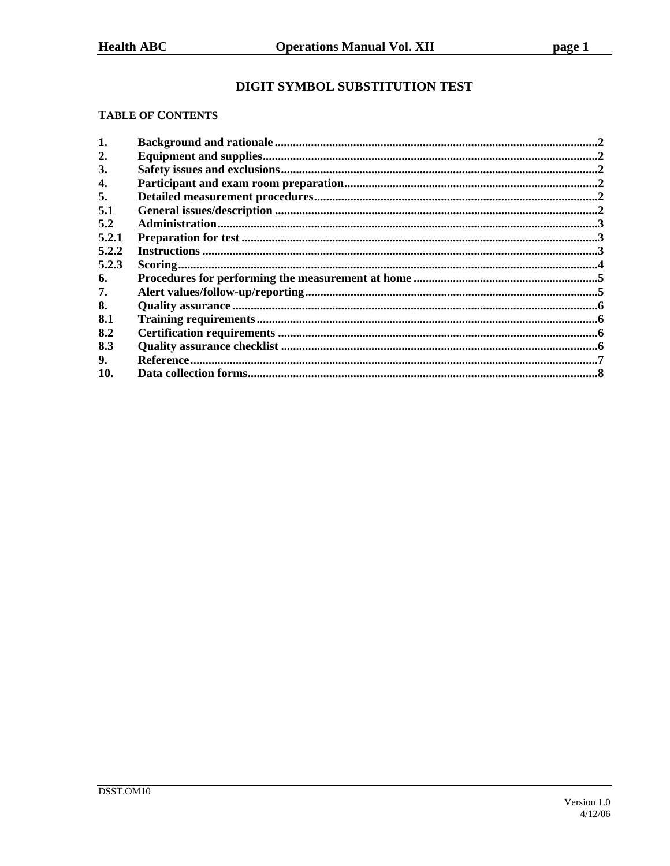# DIGIT SYMBOL SUBSTITUTION TEST

### **TABLE OF CONTENTS**

| 1.               |  |
|------------------|--|
| $\overline{2}$ . |  |
| 3.               |  |
| 4.               |  |
| 5.               |  |
| 5.1              |  |
| 5.2              |  |
| 5.2.1            |  |
| 5.2.2            |  |
| 5.2.3            |  |
| 6.               |  |
| 7.               |  |
| 8.               |  |
| 8.1              |  |
| 8.2              |  |
| 8.3              |  |
| 9.               |  |
| 10.              |  |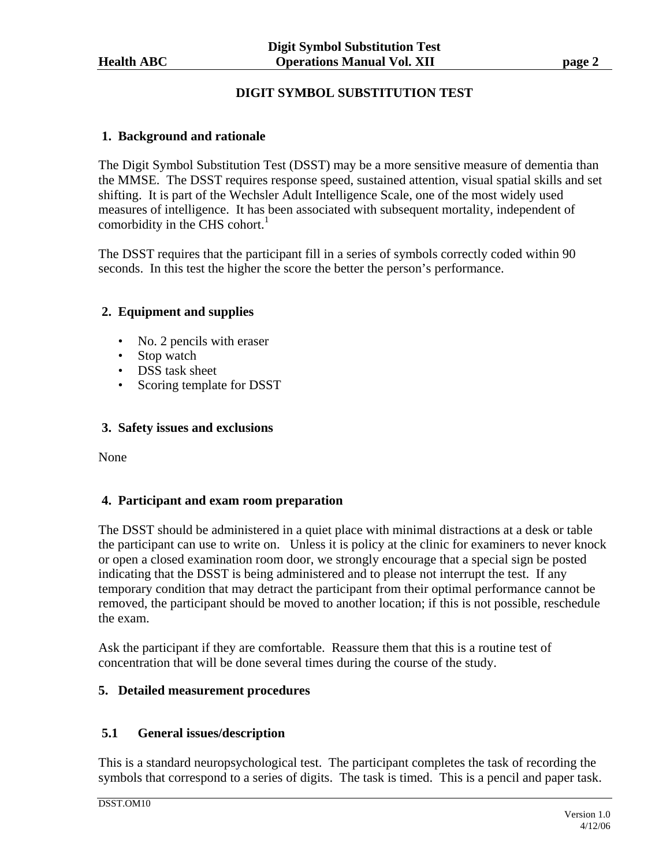# **DIGIT SYMBOL SUBSTITUTION TEST**

# **1. Background and rationale**

The Digit Symbol Substitution Test (DSST) may be a more sensitive measure of dementia than the MMSE. The DSST requires response speed, sustained attention, visual spatial skills and set shifting. It is part of the Wechsler Adult Intelligence Scale, one of the most widely used measures of intelligence. It has been associated with subsequent mortality, independent of comorbidity in the CHS cohort. $<sup>1</sup>$ </sup>

The DSST requires that the participant fill in a series of symbols correctly coded within 90 seconds. In this test the higher the score the better the person's performance.

# **2. Equipment and supplies**

- No. 2 pencils with eraser
- Stop watch
- DSS task sheet
- Scoring template for DSST

# **3. Safety issues and exclusions**

None

# **4. Participant and exam room preparation**

The DSST should be administered in a quiet place with minimal distractions at a desk or table the participant can use to write on. Unless it is policy at the clinic for examiners to never knock or open a closed examination room door, we strongly encourage that a special sign be posted indicating that the DSST is being administered and to please not interrupt the test. If any temporary condition that may detract the participant from their optimal performance cannot be removed, the participant should be moved to another location; if this is not possible, reschedule the exam.

Ask the participant if they are comfortable. Reassure them that this is a routine test of concentration that will be done several times during the course of the study.

# **5. Detailed measurement procedures**

# **5.1 General issues/description**

This is a standard neuropsychological test. The participant completes the task of recording the symbols that correspond to a series of digits. The task is timed. This is a pencil and paper task.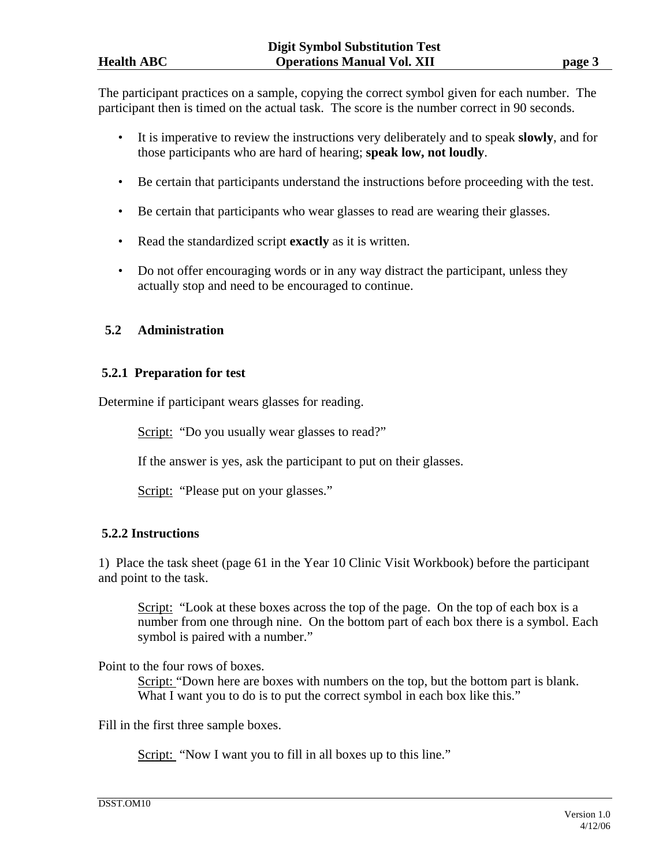The participant practices on a sample, copying the correct symbol given for each number. The participant then is timed on the actual task. The score is the number correct in 90 seconds.

- It is imperative to review the instructions very deliberately and to speak **slowly**, and for those participants who are hard of hearing; **speak low, not loudly**.
- Be certain that participants understand the instructions before proceeding with the test.
- Be certain that participants who wear glasses to read are wearing their glasses.
- Read the standardized script **exactly** as it is written.
- Do not offer encouraging words or in any way distract the participant, unless they actually stop and need to be encouraged to continue.

# **5.2 Administration**

# **5.2.1 Preparation for test**

Determine if participant wears glasses for reading.

Script: "Do you usually wear glasses to read?"

If the answer is yes, ask the participant to put on their glasses.

Script: "Please put on your glasses."

# **5.2.2 Instructions**

1) Place the task sheet (page 61 in the Year 10 Clinic Visit Workbook) before the participant and point to the task.

Script: "Look at these boxes across the top of the page. On the top of each box is a number from one through nine. On the bottom part of each box there is a symbol. Each symbol is paired with a number."

Point to the four rows of boxes.

Script: "Down here are boxes with numbers on the top, but the bottom part is blank. What I want you to do is to put the correct symbol in each box like this."

Fill in the first three sample boxes.

Script: "Now I want you to fill in all boxes up to this line."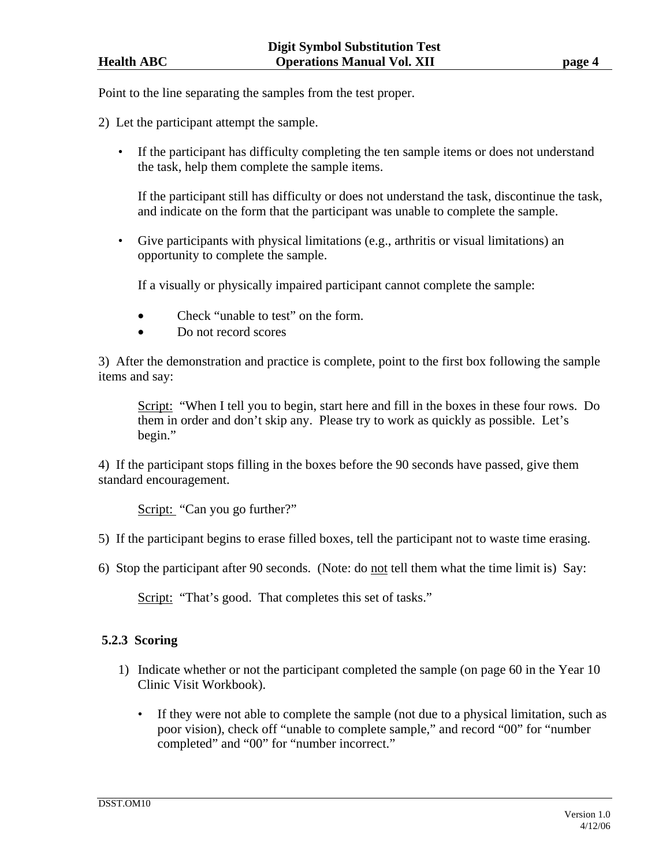Point to the line separating the samples from the test proper.

- 2) Let the participant attempt the sample.
	- If the participant has difficulty completing the ten sample items or does not understand the task, help them complete the sample items.

 If the participant still has difficulty or does not understand the task, discontinue the task, and indicate on the form that the participant was unable to complete the sample.

• Give participants with physical limitations (e.g., arthritis or visual limitations) an opportunity to complete the sample.

If a visually or physically impaired participant cannot complete the sample:

- Check "unable to test" on the form.
- Do not record scores

3) After the demonstration and practice is complete, point to the first box following the sample items and say:

Script: "When I tell you to begin, start here and fill in the boxes in these four rows. Do them in order and don't skip any. Please try to work as quickly as possible. Let's begin."

4) If the participant stops filling in the boxes before the 90 seconds have passed, give them standard encouragement.

Script: "Can you go further?"

- 5) If the participant begins to erase filled boxes, tell the participant not to waste time erasing.
- 6) Stop the participant after 90 seconds. (Note: do not tell them what the time limit is) Say:

Script: "That's good. That completes this set of tasks."

#### **5.2.3 Scoring**

- 1) Indicate whether or not the participant completed the sample (on page 60 in the Year 10 Clinic Visit Workbook).
	- If they were not able to complete the sample (not due to a physical limitation, such as poor vision), check off "unable to complete sample," and record "00" for "number completed" and "00" for "number incorrect."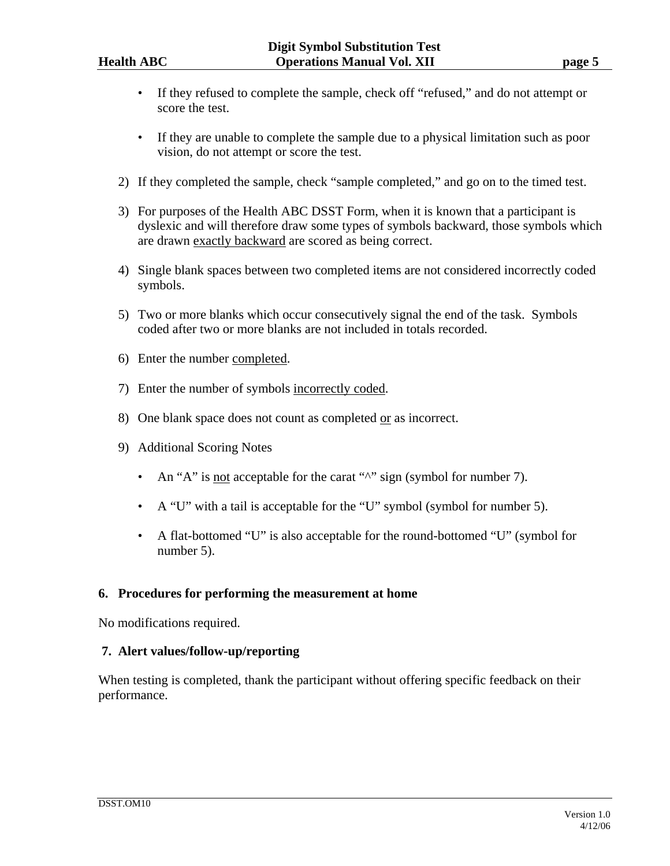- If they refused to complete the sample, check off "refused," and do not attempt or score the test.
- If they are unable to complete the sample due to a physical limitation such as poor vision, do not attempt or score the test.
- 2) If they completed the sample, check "sample completed," and go on to the timed test.
- 3) For purposes of the Health ABC DSST Form, when it is known that a participant is dyslexic and will therefore draw some types of symbols backward, those symbols which are drawn exactly backward are scored as being correct.
- 4) Single blank spaces between two completed items are not considered incorrectly coded symbols.
- 5) Two or more blanks which occur consecutively signal the end of the task. Symbols coded after two or more blanks are not included in totals recorded.
- 6) Enter the number completed.
- 7) Enter the number of symbols incorrectly coded.
- 8) One blank space does not count as completed or as incorrect.
- 9) Additional Scoring Notes
	- An "A" is <u>not</u> acceptable for the carat " $\sim$ " sign (symbol for number 7).
	- A "U" with a tail is acceptable for the "U" symbol (symbol for number 5).
	- A flat-bottomed "U" is also acceptable for the round-bottomed "U" (symbol for number 5).

#### **6. Procedures for performing the measurement at home**

No modifications required.

# **7. Alert values/follow-up/reporting**

When testing is completed, thank the participant without offering specific feedback on their performance.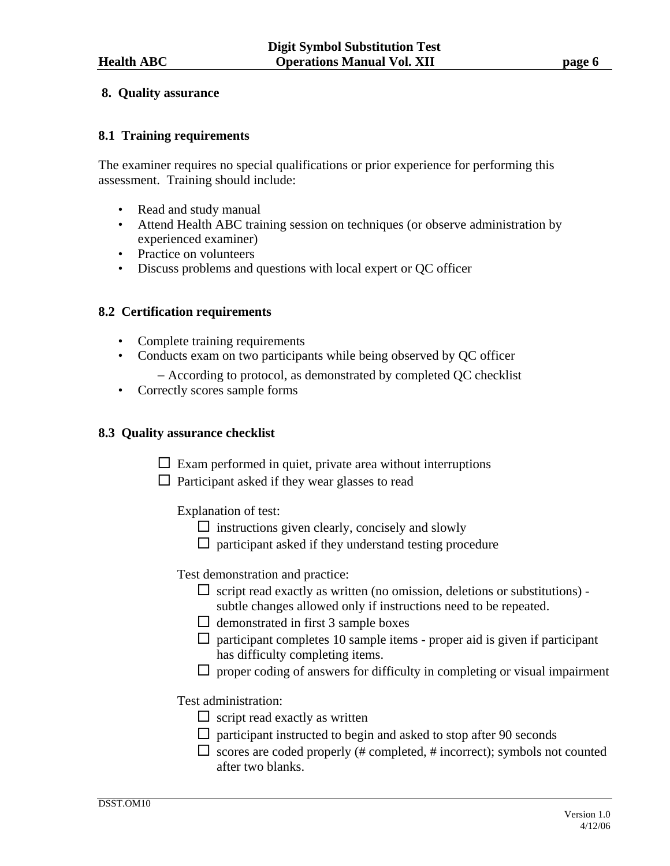### **8. Quality assurance**

### **8.1 Training requirements**

The examiner requires no special qualifications or prior experience for performing this assessment. Training should include:

- Read and study manual
- Attend Health ABC training session on techniques (or observe administration by experienced examiner)
- Practice on volunteers
- Discuss problems and questions with local expert or QC officer

### **8.2 Certification requirements**

- Complete training requirements
- Conducts exam on two participants while being observed by QC officer
	- − According to protocol, as demonstrated by completed QC checklist
- Correctly scores sample forms

#### **8.3 Quality assurance checklist**

- $\Box$  Exam performed in quiet, private area without interruptions
- $\Box$  Participant asked if they wear glasses to read

Explanation of test:

- $\Box$  instructions given clearly, concisely and slowly
- $\Box$  participant asked if they understand testing procedure

Test demonstration and practice:

- $\Box$  script read exactly as written (no omission, deletions or substitutions) subtle changes allowed only if instructions need to be repeated.
- $\Box$  demonstrated in first 3 sample boxes
- $\Box$  participant completes 10 sample items proper aid is given if participant has difficulty completing items.
- $\Box$  proper coding of answers for difficulty in completing or visual impairment

Test administration:

- $\Box$  script read exactly as written
- $\Box$  participant instructed to begin and asked to stop after 90 seconds
- $\square$  scores are coded properly (# completed, # incorrect); symbols not counted after two blanks.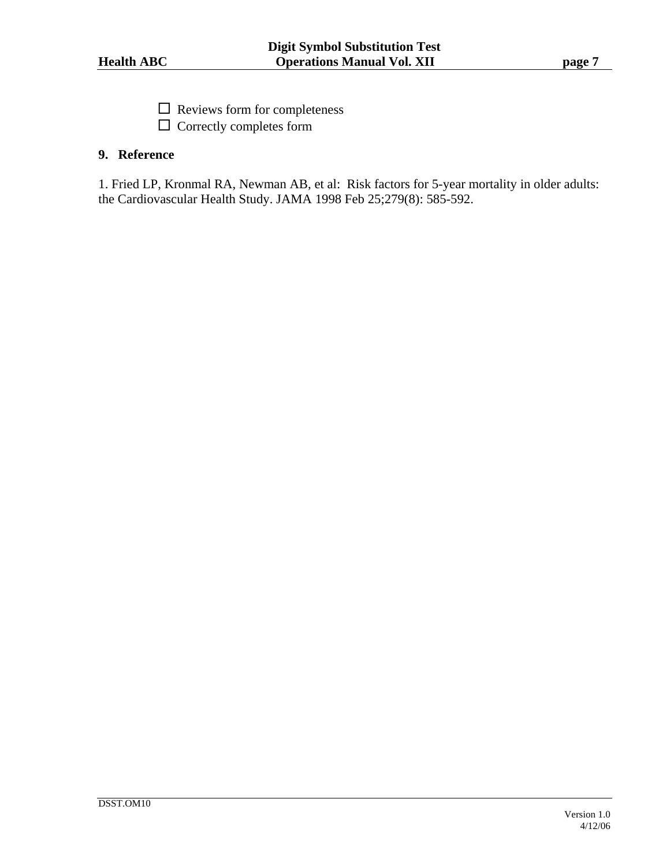$\square$  Reviews form for completeness

 $\Box$  Correctly completes form

# **9. Reference**

1. Fried LP, Kronmal RA, Newman AB, et al: Risk factors for 5-year mortality in older adults: the Cardiovascular Health Study. JAMA 1998 Feb 25;279(8): 585-592.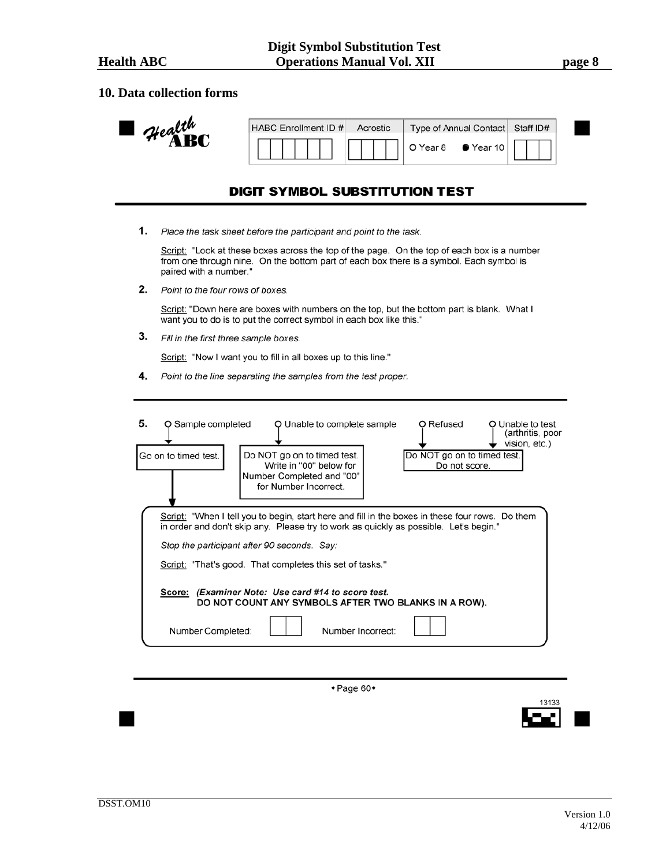I

#### **10. Data collection forms**

| Health | HABC Enrollment ID # | Acrostic | Type of Annual Contact   Staff ID# |  |
|--------|----------------------|----------|------------------------------------|--|
|        |                      |          | O Year 8 $\bullet$ Year 10         |  |

## **DIGIT SYMBOL SUBSTITUTION TEST**

1. Place the task sheet before the participant and point to the task.

Script: "Look at these boxes across the top of the page. On the top of each box is a number from one through nine. On the bottom part of each box there is a symbol. Each symbol is paired with a number."

2. Point to the four rows of boxes.

Script: "Down here are boxes with numbers on the top, but the bottom part is blank. What I want you to do is to put the correct symbol in each box like this."

3. Fill in the first three sample boxes.

Script: "Now I want you to fill in all boxes up to this line."

4. Point to the line separating the samples from the test proper.

| 5. | Q Sample completed<br>Go on to timed test.                                                                                                                                                                                              | Q Unable to complete sample<br>Do NOT go on to timed test.<br>Write in "00" below for<br>Number Completed and "00"<br>for Number Incorrect. | O Refused<br>Do NOT go on to timed test.<br>Do not score. | O Unable to test<br>(arthritis, poor<br>vision, etc.) |  |  |  |  |
|----|-----------------------------------------------------------------------------------------------------------------------------------------------------------------------------------------------------------------------------------------|---------------------------------------------------------------------------------------------------------------------------------------------|-----------------------------------------------------------|-------------------------------------------------------|--|--|--|--|
|    | Script: "When I tell you to begin, start here and fill in the boxes in these four rows. Do them<br>in order and don't skip any. Please try to work as quickly as possible. Let's begin."<br>Stop the participant after 90 seconds. Say: |                                                                                                                                             |                                                           |                                                       |  |  |  |  |
|    | Script: "That's good. That completes this set of tasks."<br>Score: (Examiner Note: Use card #14 to score test.<br>DO NOT COUNT ANY SYMBOLS AFTER TWO BLANKS IN A ROW).                                                                  |                                                                                                                                             |                                                           |                                                       |  |  |  |  |
|    | Number Completed:                                                                                                                                                                                                                       | Number Incorrect:                                                                                                                           |                                                           |                                                       |  |  |  |  |

 $\textcolor{blue}{\star}$  Page 60 $\textcolor{blue}{\star}$